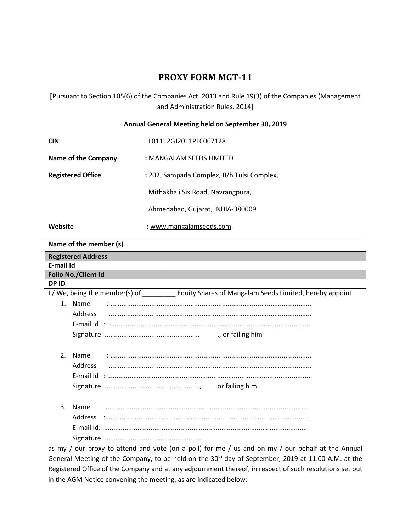# **PROXY FORM MGT-11**

[Pursuant to Section 105(6) of the Companies Act, 2013 and Rule 19(3) of the Companies (Management and Administration Rules, 2014]

#### **Annual General Meeting held on September 30, 2019**

| <b>CIN</b>               | : L01112GJ2011PLC067128                    |
|--------------------------|--------------------------------------------|
| Name of the Company      | : MANGALAM SEEDS LIMITED                   |
| <b>Registered Office</b> | : 202, Sampada Complex, B/h Tulsi Complex, |
|                          | Mithakhali Six Road, Navrangpura,          |
|                          | Ahmedabad, Gujarat, INDIA-380009           |
| Website                  | : www.mangalamseeds.com.                   |

#### **Name of the member (s)**

| <b>Registered Address</b>                                                                            |  |
|------------------------------------------------------------------------------------------------------|--|
| E-mail Id                                                                                            |  |
| Folio No./Client Id                                                                                  |  |
| DP ID                                                                                                |  |
| I/We, being the member(s) of _______________ Equity Shares of Mangalam Seeds Limited, hereby appoint |  |
| 1. Name                                                                                              |  |
|                                                                                                      |  |
|                                                                                                      |  |
|                                                                                                      |  |
|                                                                                                      |  |
| Name<br>2.                                                                                           |  |
|                                                                                                      |  |
|                                                                                                      |  |
|                                                                                                      |  |
|                                                                                                      |  |
| 3.<br>Name                                                                                           |  |
|                                                                                                      |  |
|                                                                                                      |  |
|                                                                                                      |  |
| as my / our proxy to attend and vote (on a poll) for me / us and on my / our behalf at the Annual    |  |

as my / our proxy to attend and vote (on a poll) for me / us and on my / our behalf at the Annual General Meeting of the Company, to be held on the 30<sup>th</sup> day of September, 2019 at 11.00 A.M. at the Registered Office of the Company and at any adjournment thereof, in respect of such resolutions set out in the AGM Notice convening the meeting, as are indicated below: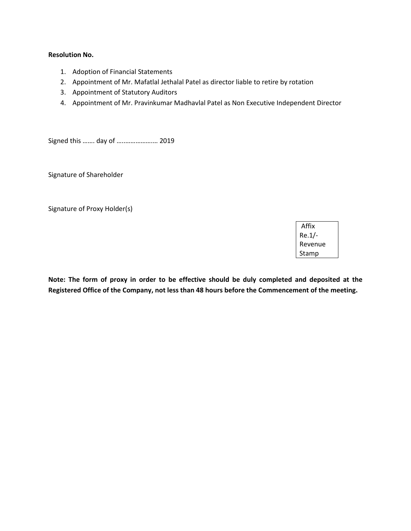#### **Resolution No.**

- 1. Adoption of Financial Statements
- 2. Appointment of Mr. Mafatlal Jethalal Patel as director liable to retire by rotation
- 3. Appointment of Statutory Auditors
- 4. Appointment of Mr. Pravinkumar Madhavlal Patel as Non Executive Independent Director

Signed this ……. day of …..…………….… 2019

Signature of Shareholder

Signature of Proxy Holder(s)

Affix Re.1/- Revenue Stamp

**Note: The form of proxy in order to be effective should be duly completed and deposited at the Registered Office of the Company, not less than 48 hours before the Commencement of the meeting.**